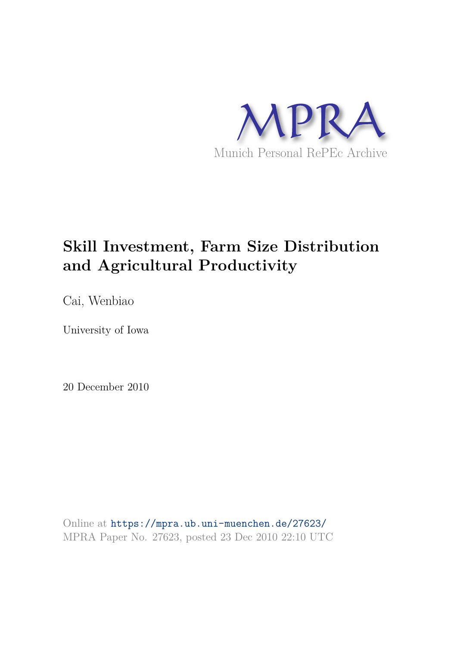

# **Skill Investment, Farm Size Distribution and Agricultural Productivity**

Cai, Wenbiao

University of Iowa

20 December 2010

Online at https://mpra.ub.uni-muenchen.de/27623/ MPRA Paper No. 27623, posted 23 Dec 2010 22:10 UTC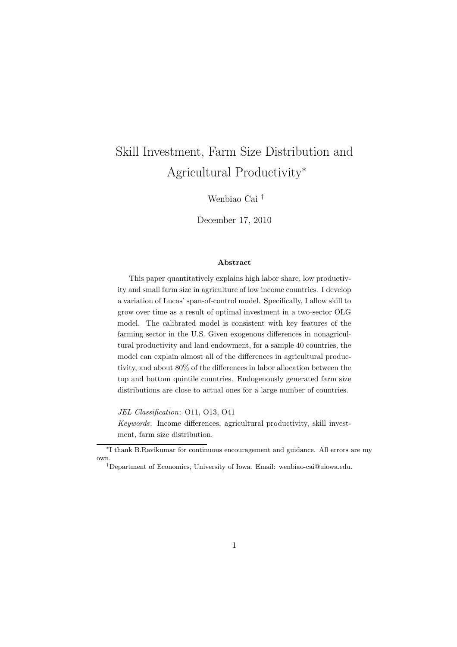# Skill Investment, Farm Size Distribution and Agricultural Productivity<sup>∗</sup>

Wenbiao Cai †

December 17, 2010

#### Abstract

This paper quantitatively explains high labor share, low productivity and small farm size in agriculture of low income countries. I develop a variation of Lucas' span-of-control model. Specifically, I allow skill to grow over time as a result of optimal investment in a two-sector OLG model. The calibrated model is consistent with key features of the farming sector in the U.S. Given exogenous differences in nonagricultural productivity and land endowment, for a sample 40 countries, the model can explain almost all of the differences in agricultural productivity, and about 80% of the differences in labor allocation between the top and bottom quintile countries. Endogenously generated farm size distributions are close to actual ones for a large number of countries.

JEL Classification: O11, O13, O41

Keywords: Income differences, agricultural productivity, skill investment, farm size distribution.

<sup>∗</sup> I thank B.Ravikumar for continuous encouragement and guidance. All errors are my own.

<sup>†</sup>Department of Economics, University of Iowa. Email: wenbiao-cai@uiowa.edu.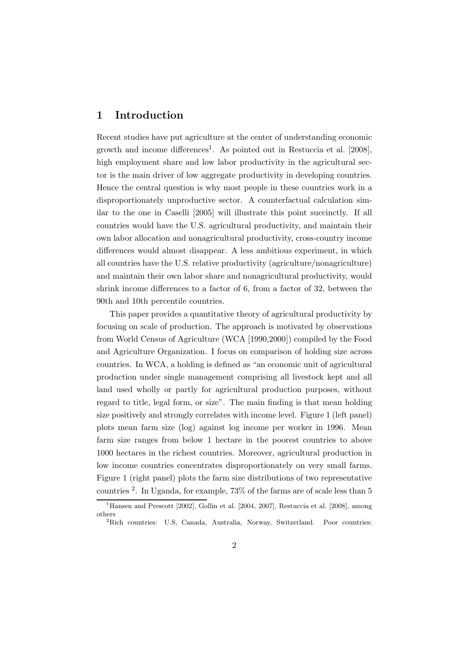### 1 Introduction

Recent studies have put agriculture at the center of understanding economic growth and income differences<sup>1</sup>. As pointed out in Restuccia et al. [2008], high employment share and low labor productivity in the agricultural sector is the main driver of low aggregate productivity in developing countries. Hence the central question is why most people in these countries work in a disproportionately unproductive sector. A counterfactual calculation similar to the one in Caselli [2005] will illustrate this point succinctly. If all countries would have the U.S. agricultural productivity, and maintain their own labor allocation and nonagricultural productivity, cross-country income differences would almost disappear. A less ambitious experiment, in which all countries have the U.S. relative productivity (agriculture/nonagriculture) and maintain their own labor share and nonagricultural productivity, would shrink income differences to a factor of 6, from a factor of 32, between the 90th and 10th percentile countries.

This paper provides a quantitative theory of agricultural productivity by focusing on scale of production. The approach is motivated by observations from World Census of Agriculture (WCA [1990,2000]) compiled by the Food and Agriculture Organization. I focus on comparison of holding size across countries. In WCA, a holding is defined as "an economic unit of agricultural production under single management comprising all livestock kept and all land used wholly or partly for agricultural production purposes, without regard to title, legal form, or size". The main finding is that mean holding size positively and strongly correlates with income level. Figure 1 (left panel) plots mean farm size (log) against log income per worker in 1996. Mean farm size ranges from below 1 hectare in the poorest countries to above 1000 hectares in the richest countries. Moreover, agricultural production in low income countries concentrates disproportionately on very small farms. Figure 1 (right panel) plots the farm size distributions of two representative countries<sup>2</sup>. In Uganda, for example, 73% of the farms are of scale less than 5

<sup>&</sup>lt;sup>1</sup>Hansen and Prescott [2002], Gollin et al. [2004, 2007], Restuccia et al. [2008], among others

<sup>&</sup>lt;sup>2</sup>Rich countries: U.S, Canada, Australia, Norway, Switzerland. Poor countries: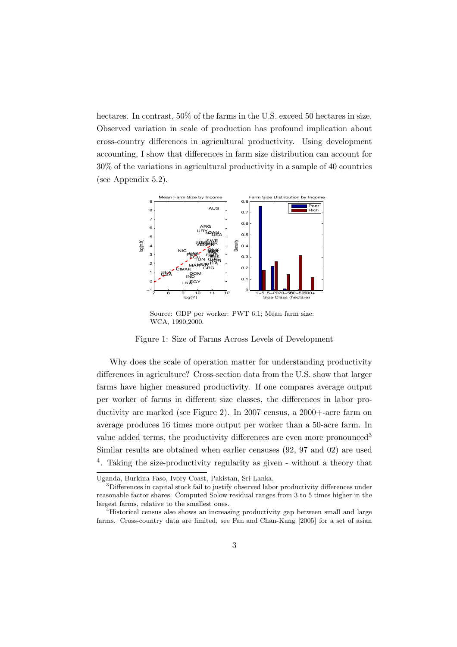hectares. In contrast, 50% of the farms in the U.S. exceed 50 hectares in size. Observed variation in scale of production has profound implication about cross-country differences in agricultural productivity. Using development accounting, I show that differences in farm size distribution can account for 30% of the variations in agricultural productivity in a sample of 40 countries (see Appendix 5.2).



Source: GDP per worker: PWT 6.1; Mean farm size: WCA, 1990,2000.

Figure 1: Size of Farms Across Levels of Development

Why does the scale of operation matter for understanding productivity differences in agriculture? Cross-section data from the U.S. show that larger farms have higher measured productivity. If one compares average output per worker of farms in different size classes, the differences in labor productivity are marked (see Figure 2). In 2007 census, a 2000+-acre farm on average produces 16 times more output per worker than a 50-acre farm. In value added terms, the productivity differences are even more pronounced<sup>3</sup> Similar results are obtained when earlier censuses (92, 97 and 02) are used <sup>4</sup>. Taking the size-productivity regularity as given - without a theory that

Uganda, Burkina Faso, Ivory Coast, Pakistan, Sri Lanka.

<sup>&</sup>lt;sup>3</sup>Differences in capital stock fail to justify observed labor productivity differences under reasonable factor shares. Computed Solow residual ranges from 3 to 5 times higher in the largest farms, relative to the smallest ones.

<sup>&</sup>lt;sup>4</sup>Historical census also shows an increasing productivity gap between small and large farms. Cross-country data are limited, see Fan and Chan-Kang [2005] for a set of asian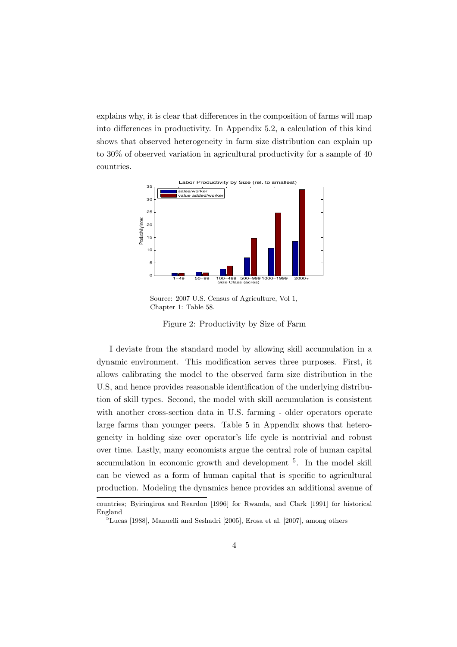explains why, it is clear that differences in the composition of farms will map into differences in productivity. In Appendix 5.2, a calculation of this kind shows that observed heterogeneity in farm size distribution can explain up to 30% of observed variation in agricultural productivity for a sample of 40 countries.



Source: 2007 U.S. Census of Agriculture, Vol 1, Chapter 1: Table 58.

Figure 2: Productivity by Size of Farm

I deviate from the standard model by allowing skill accumulation in a dynamic environment. This modification serves three purposes. First, it allows calibrating the model to the observed farm size distribution in the U.S, and hence provides reasonable identification of the underlying distribution of skill types. Second, the model with skill accumulation is consistent with another cross-section data in U.S. farming - older operators operate large farms than younger peers. Table 5 in Appendix shows that heterogeneity in holding size over operator's life cycle is nontrivial and robust over time. Lastly, many economists argue the central role of human capital accumulation in economic growth and development <sup>5</sup>. In the model skill can be viewed as a form of human capital that is specific to agricultural production. Modeling the dynamics hence provides an additional avenue of

countries; Byiringiroa and Reardon [1996] for Rwanda, and Clark [1991] for historical England

 $5$ Lucas [1988], Manuelli and Seshadri [2005], Erosa et al. [2007], among others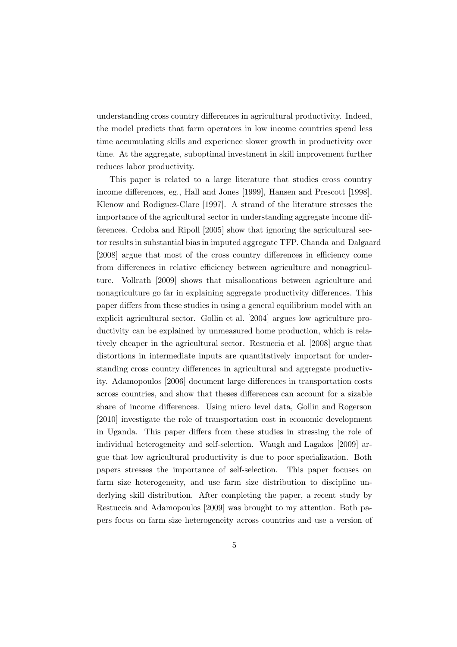understanding cross country differences in agricultural productivity. Indeed, the model predicts that farm operators in low income countries spend less time accumulating skills and experience slower growth in productivity over time. At the aggregate, suboptimal investment in skill improvement further reduces labor productivity.

This paper is related to a large literature that studies cross country income differences, eg., Hall and Jones [1999], Hansen and Prescott [1998], Klenow and Rodiguez-Clare [1997]. A strand of the literature stresses the importance of the agricultural sector in understanding aggregate income differences. Crdoba and Ripoll [2005] show that ignoring the agricultural sector results in substantial bias in imputed aggregate TFP. Chanda and Dalgaard [2008] argue that most of the cross country differences in efficiency come from differences in relative efficiency between agriculture and nonagriculture. Vollrath [2009] shows that misallocations between agriculture and nonagriculture go far in explaining aggregate productivity differences. This paper differs from these studies in using a general equilibrium model with an explicit agricultural sector. Gollin et al. [2004] argues low agriculture productivity can be explained by unmeasured home production, which is relatively cheaper in the agricultural sector. Restuccia et al. [2008] argue that distortions in intermediate inputs are quantitatively important for understanding cross country differences in agricultural and aggregate productivity. Adamopoulos [2006] document large differences in transportation costs across countries, and show that theses differences can account for a sizable share of income differences. Using micro level data, Gollin and Rogerson [2010] investigate the role of transportation cost in economic development in Uganda. This paper differs from these studies in stressing the role of individual heterogeneity and self-selection. Waugh and Lagakos [2009] argue that low agricultural productivity is due to poor specialization. Both papers stresses the importance of self-selection. This paper focuses on farm size heterogeneity, and use farm size distribution to discipline underlying skill distribution. After completing the paper, a recent study by Restuccia and Adamopoulos [2009] was brought to my attention. Both papers focus on farm size heterogeneity across countries and use a version of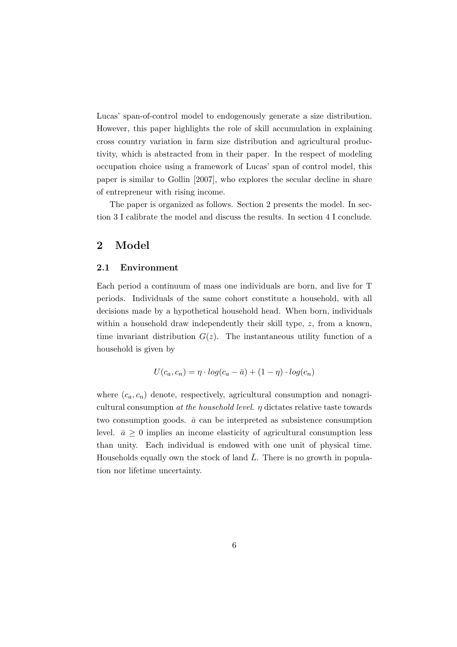Lucas' span-of-control model to endogenously generate a size distribution. However, this paper highlights the role of skill accumulation in explaining cross country variation in farm size distribution and agricultural productivity, which is abstracted from in their paper. In the respect of modeling occupation choice using a framework of Lucas' span of control model, this paper is similar to Gollin [2007], who explores the secular decline in share of entrepreneur with rising income.

The paper is organized as follows. Section 2 presents the model. In section 3 I calibrate the model and discuss the results. In section 4 I conclude.

### 2 Model

### 2.1 Environment

Each period a continuum of mass one individuals are born, and live for T periods. Individuals of the same cohort constitute a household, with all decisions made by a hypothetical household head. When born, individuals within a household draw independently their skill type, z, from a known, time invariant distribution  $G(z)$ . The instantaneous utility function of a household is given by

$$
U(c_a, c_n) = \eta \cdot log(c_a - \bar{a}) + (1 - \eta) \cdot log(c_n)
$$

where  $(c_a, c_n)$  denote, respectively, agricultural consumption and nonagricultural consumption at the household level.  $\eta$  dictates relative taste towards two consumption goods.  $\bar{a}$  can be interpreted as subsistence consumption level.  $\bar{a} \geq 0$  implies an income elasticity of agricultural consumption less than unity. Each individual is endowed with one unit of physical time. Households equally own the stock of land  $\overline{L}$ . There is no growth in population nor lifetime uncertainty.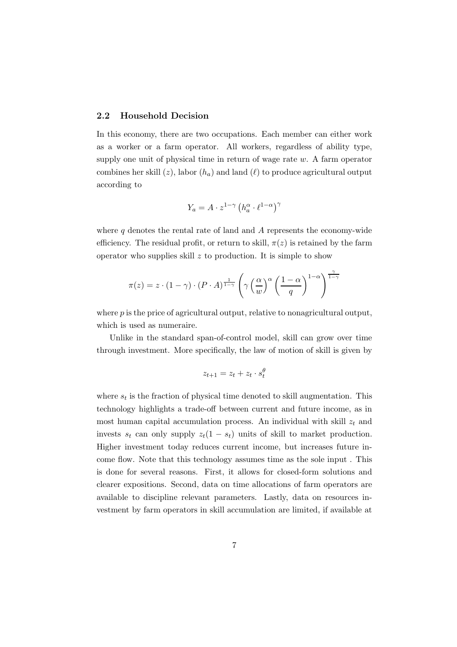### 2.2 Household Decision

In this economy, there are two occupations. Each member can either work as a worker or a farm operator. All workers, regardless of ability type, supply one unit of physical time in return of wage rate  $w$ . A farm operator combines her skill  $(z)$ , labor  $(h_a)$  and land  $(\ell)$  to produce agricultural output according to

$$
Y_a = A \cdot z^{1-\gamma} \left( h_a^{\alpha} \cdot \ell^{1-\alpha} \right)^{\gamma}
$$

where  $q$  denotes the rental rate of land and  $A$  represents the economy-wide efficiency. The residual profit, or return to skill,  $\pi(z)$  is retained by the farm operator who supplies skill  $z$  to production. It is simple to show

$$
\pi(z) = z \cdot (1 - \gamma) \cdot (P \cdot A)^{\frac{1}{1 - \gamma}} \left( \gamma \left( \frac{\alpha}{w} \right)^{\alpha} \left( \frac{1 - \alpha}{q} \right)^{1 - \alpha} \right)^{\frac{\gamma}{1 - \gamma}}
$$

where  $p$  is the price of agricultural output, relative to nonagricultural output, which is used as numeraire.

Unlike in the standard span-of-control model, skill can grow over time through investment. More specifically, the law of motion of skill is given by

$$
z_{t+1} = z_t + z_t \cdot s_t^{\theta}
$$

where  $s_t$  is the fraction of physical time denoted to skill augmentation. This technology highlights a trade-off between current and future income, as in most human capital accumulation process. An individual with skill  $z_t$  and invests  $s_t$  can only supply  $z_t(1 - s_t)$  units of skill to market production. Higher investment today reduces current income, but increases future income flow. Note that this technology assumes time as the sole input . This is done for several reasons. First, it allows for closed-form solutions and clearer expositions. Second, data on time allocations of farm operators are available to discipline relevant parameters. Lastly, data on resources investment by farm operators in skill accumulation are limited, if available at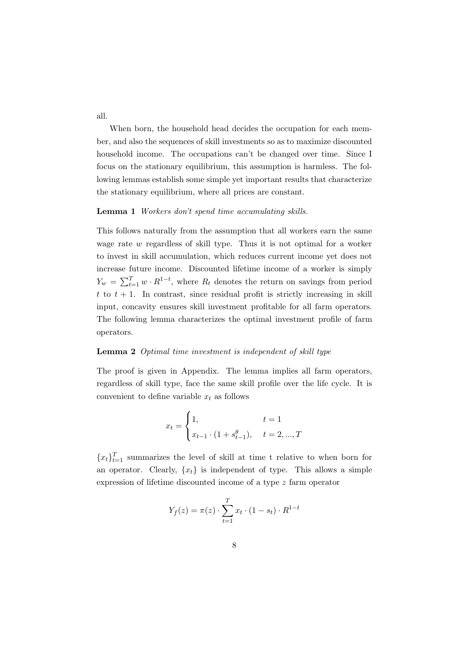all.

When born, the household head decides the occupation for each member, and also the sequences of skill investments so as to maximize discounted household income. The occupations can't be changed over time. Since I focus on the stationary equilibrium, this assumption is harmless. The following lemmas establish some simple yet important results that characterize the stationary equilibrium, where all prices are constant.

#### Lemma 1 Workers don't spend time accumulating skills.

This follows naturally from the assumption that all workers earn the same wage rate w regardless of skill type. Thus it is not optimal for a worker to invest in skill accumulation, which reduces current income yet does not increase future income. Discounted lifetime income of a worker is simply  $Y_w = \sum_{t=1}^T w \cdot R^{1-t}$ , where  $R_t$  denotes the return on savings from period  $t$  to  $t + 1$ . In contrast, since residual profit is strictly increasing in skill input, concavity ensures skill investment profitable for all farm operators. The following lemma characterizes the optimal investment profile of farm operators.

### Lemma 2 Optimal time investment is independent of skill type

The proof is given in Appendix. The lemma implies all farm operators, regardless of skill type, face the same skill profile over the life cycle. It is convenient to define variable  $x_t$  as follows

$$
x_{t} = \begin{cases} 1, & t = 1 \\ x_{t-1} \cdot (1 + s_{t-1}^{\theta}), & t = 2, ..., T \end{cases}
$$

 ${x_t}_{t=1}^T$  summarizes the level of skill at time t relative to when born for an operator. Clearly,  $\{x_t\}$  is independent of type. This allows a simple expression of lifetime discounted income of a type z farm operator

$$
Y_f(z) = \pi(z) \cdot \sum_{t=1}^{T} x_t \cdot (1 - s_t) \cdot R^{1-t}
$$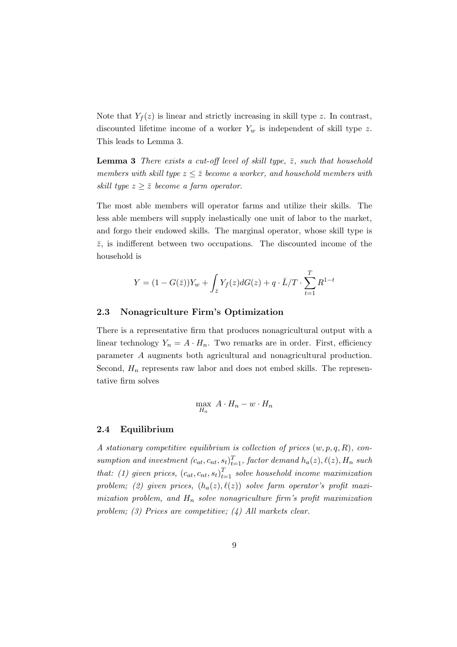Note that  $Y_f(z)$  is linear and strictly increasing in skill type z. In contrast, discounted lifetime income of a worker  $Y_w$  is independent of skill type z. This leads to Lemma 3.

**Lemma 3** There exists a cut-off level of skill type,  $\bar{z}$ , such that household members with skill type  $z \leq \overline{z}$  become a worker, and household members with skill type  $z \geq \overline{z}$  become a farm operator.

The most able members will operator farms and utilize their skills. The less able members will supply inelastically one unit of labor to the market, and forgo their endowed skills. The marginal operator, whose skill type is  $\overline{z}$ , is indifferent between two occupations. The discounted income of the household is

$$
Y = (1 - G(\bar{z}))Y_w + \int_{\bar{z}} Y_f(z)dG(z) + q \cdot \bar{L}/T \cdot \sum_{t=1}^{T} R^{1-t}
$$

### 2.3 Nonagriculture Firm's Optimization

There is a representative firm that produces nonagricultural output with a linear technology  $Y_n = A \cdot H_n$ . Two remarks are in order. First, efficiency parameter A augments both agricultural and nonagricultural production. Second,  $H_n$  represents raw labor and does not embed skills. The representative firm solves

$$
\max_{H_n} A \cdot H_n - w \cdot H_n
$$

### 2.4 Equilibrium

A stationary competitive equilibrium is collection of prices  $(w, p, q, R)$ , consumption and investment  $(c_{at}, c_{nt}, s_t)_{t=1}^T$ , factor demand  $h_a(z)$ ,  $\ell(z)$ ,  $H_n$  such that: (1) given prices,  $(c_{at}, c_{nt}, s_t)_{t=1}^T$  solve household income maximization problem; (2) given prices,  $(h_a(z), \ell(z))$  solve farm operator's profit maximization problem, and  $H_n$  solve nonagriculture firm's profit maximization problem; (3) Prices are competitive; (4) All markets clear.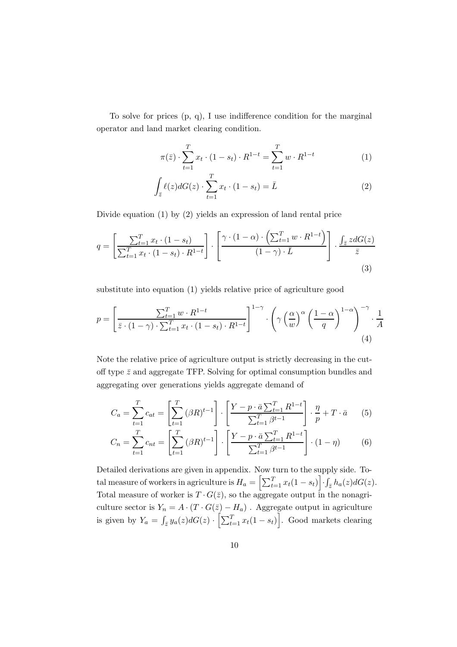To solve for prices (p, q), I use indifference condition for the marginal operator and land market clearing condition.

$$
\pi(\bar{z}) \cdot \sum_{t=1}^{T} x_t \cdot (1 - s_t) \cdot R^{1-t} = \sum_{t=1}^{T} w \cdot R^{1-t} \tag{1}
$$

$$
\int_{\bar{z}} \ell(z) dG(z) \cdot \sum_{t=1}^{T} x_t \cdot (1 - s_t) = \bar{L} \tag{2}
$$

Divide equation (1) by (2) yields an expression of land rental price

$$
q = \left[\frac{\sum_{t=1}^{T} x_t \cdot (1 - s_t)}{\sum_{t=1}^{T} x_t \cdot (1 - s_t) \cdot R^{1-t}}\right] \cdot \left[\frac{\gamma \cdot (1 - \alpha) \cdot \left(\sum_{t=1}^{T} w \cdot R^{1-t}\right)}{(1 - \gamma) \cdot \bar{L}}\right] \cdot \frac{\int_{\bar{z}} z dG(z)}{\bar{z}}
$$
\n(3)

substitute into equation (1) yields relative price of agriculture good

$$
p = \left[\frac{\sum_{t=1}^{T} w \cdot R^{1-t}}{\bar{z} \cdot (1-\gamma) \cdot \sum_{t=1}^{T} x_t \cdot (1-s_t) \cdot R^{1-t}}\right]^{1-\gamma} \cdot \left(\gamma \left(\frac{\alpha}{w}\right)^{\alpha} \left(\frac{1-\alpha}{q}\right)^{1-\alpha}\right)^{-\gamma} \cdot \frac{1}{A}
$$
\n(4)

Note the relative price of agriculture output is strictly decreasing in the cutoff type  $\bar{z}$  and aggregate TFP. Solving for optimal consumption bundles and aggregating over generations yields aggregate demand of

$$
C_a = \sum_{t=1}^T c_{at} = \left[ \sum_{t=1}^T (\beta R)^{t-1} \right] \cdot \left[ \frac{Y - p \cdot \bar{a} \sum_{t=1}^T R^{1-t}}{\sum_{t=1}^T \beta^{t-1}} \right] \cdot \frac{\eta}{p} + T \cdot \bar{a} \tag{5}
$$

$$
C_n = \sum_{t=1}^{T} c_{nt} = \left[ \sum_{t=1}^{T} (\beta R)^{t-1} \right] \cdot \left[ \frac{Y - p \cdot \bar{a} \sum_{t=1}^{T} R^{1-t}}{\sum_{t=1}^{T} \beta^{t-1}} \right] \cdot (1 - \eta) \tag{6}
$$

Detailed derivations are given in appendix. Now turn to the supply side. Total measure of workers in agriculture is  $H_a = \left[ \sum_{t=1}^T x_t(1 - s_t) \right] \cdot \int_{\bar{z}} h_a(z) dG(z)$ . Total measure of worker is  $T \cdot G(\bar{z})$ , so the aggregate output in the nonagriculture sector is  $Y_n = A \cdot (T \cdot G(\bar{z}) - H_a)$ . Aggregate output in agriculture is given by  $Y_a = \int_{\bar{z}} y_a(z) dG(z) \cdot \left[ \sum_{t=1}^T x_t(1 - s_t) \right]$ . Good markets clearing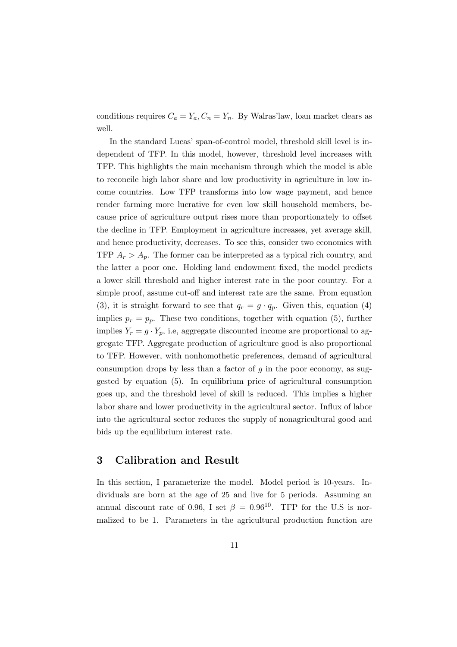conditions requires  $C_a = Y_a$ ,  $C_n = Y_n$ . By Walras'law, loan market clears as well.

In the standard Lucas' span-of-control model, threshold skill level is independent of TFP. In this model, however, threshold level increases with TFP. This highlights the main mechanism through which the model is able to reconcile high labor share and low productivity in agriculture in low income countries. Low TFP transforms into low wage payment, and hence render farming more lucrative for even low skill household members, because price of agriculture output rises more than proportionately to offset the decline in TFP. Employment in agriculture increases, yet average skill, and hence productivity, decreases. To see this, consider two economies with TFP  $A_r > A_p$ . The former can be interpreted as a typical rich country, and the latter a poor one. Holding land endowment fixed, the model predicts a lower skill threshold and higher interest rate in the poor country. For a simple proof, assume cut-off and interest rate are the same. From equation (3), it is straight forward to see that  $q_r = g \cdot q_p$ . Given this, equation (4) implies  $p_r = p_p$ . These two conditions, together with equation (5), further implies  $Y_r = g \cdot Y_p$ , i.e, aggregate discounted income are proportional to aggregate TFP. Aggregate production of agriculture good is also proportional to TFP. However, with nonhomothetic preferences, demand of agricultural consumption drops by less than a factor of  $g$  in the poor economy, as suggested by equation (5). In equilibrium price of agricultural consumption goes up, and the threshold level of skill is reduced. This implies a higher labor share and lower productivity in the agricultural sector. Influx of labor into the agricultural sector reduces the supply of nonagricultural good and bids up the equilibrium interest rate.

### 3 Calibration and Result

In this section, I parameterize the model. Model period is 10-years. Individuals are born at the age of 25 and live for 5 periods. Assuming an annual discount rate of 0.96, I set  $\beta = 0.96^{10}$ . TFP for the U.S is normalized to be 1. Parameters in the agricultural production function are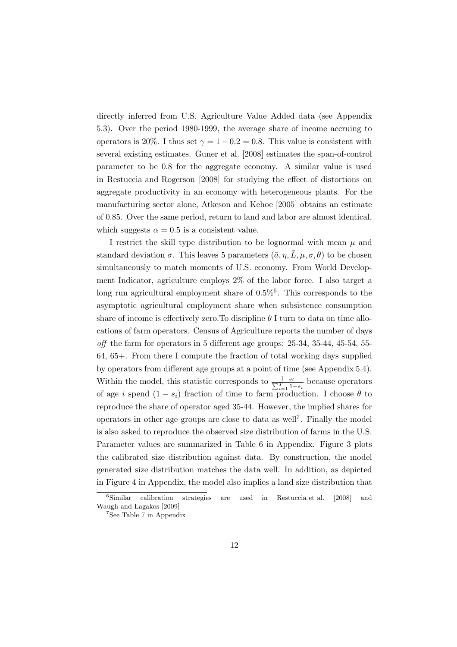directly inferred from U.S. Agriculture Value Added data (see Appendix 5.3). Over the period 1980-1999, the average share of income accruing to operators is 20%. I thus set  $\gamma = 1 - 0.2 = 0.8$ . This value is consistent with several existing estimates. Guner et al. [2008] estimates the span-of-control parameter to be 0.8 for the aggregate economy. A similar value is used in Restuccia and Rogerson [2008] for studying the effect of distortions on aggregate productivity in an economy with heterogeneous plants. For the manufacturing sector alone, Atkeson and Kehoe [2005] obtains an estimate of 0.85. Over the same period, return to land and labor are almost identical, which suggests  $\alpha = 0.5$  is a consistent value.

I restrict the skill type distribution to be lognormal with mean  $\mu$  and standard deviation  $\sigma$ . This leaves 5 parameters  $(\bar{a}, \eta, L, \mu, \sigma, \theta)$  to be chosen simultaneously to match moments of U.S. economy. From World Development Indicator, agriculture employs 2% of the labor force. I also target a long run agricultural employment share of  $0.5\%$ <sup>6</sup>. This corresponds to the asymptotic agricultural employment share when subsistence consumption share of income is effectively zero. To discipline  $\theta$  I turn to data on time allocations of farm operators. Census of Agriculture reports the number of days off the farm for operators in 5 different age groups: 25-34, 35-44, 45-54, 55- 64, 65+. From there I compute the fraction of total working days supplied by operators from different age groups at a point of time (see Appendix 5.4). Within the model, this statistic corresponds to  $\frac{1-s_i}{\sum_{i=1}^T 1-s_i}$  because operators of age i spend  $(1 - s_i)$  fraction of time to farm production. I choose  $\theta$  to reproduce the share of operator aged 35-44. However, the implied shares for operators in other age groups are close to data as well<sup>7</sup>. Finally the model is also asked to reproduce the observed size distribution of farms in the U.S. Parameter values are summarized in Table 6 in Appendix. Figure 3 plots the calibrated size distribution against data. By construction, the model generated size distribution matches the data well. In addition, as depicted in Figure 4 in Appendix, the model also implies a land size distribution that

 ${}^{6}$ Similar calibration strategies are used in Restuccia et al.  $[2008]$  and Waugh and Lagakos [2009]

<sup>7</sup> See Table 7 in Appendix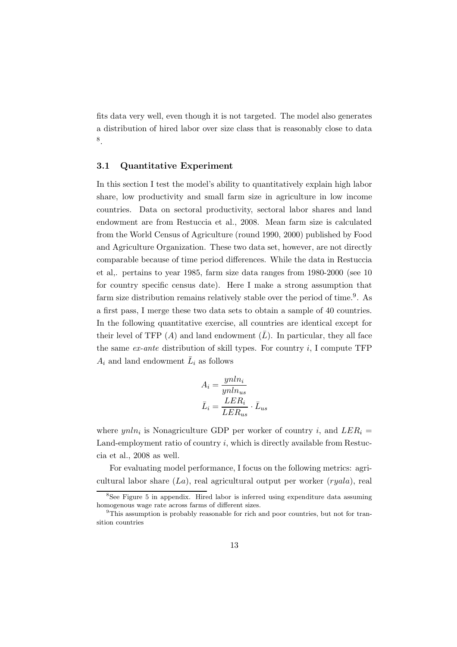fits data very well, even though it is not targeted. The model also generates a distribution of hired labor over size class that is reasonably close to data 8 .

### 3.1 Quantitative Experiment

In this section I test the model's ability to quantitatively explain high labor share, low productivity and small farm size in agriculture in low income countries. Data on sectoral productivity, sectoral labor shares and land endowment are from Restuccia et al., 2008. Mean farm size is calculated from the World Census of Agriculture (round 1990, 2000) published by Food and Agriculture Organization. These two data set, however, are not directly comparable because of time period differences. While the data in Restuccia et al,. pertains to year 1985, farm size data ranges from 1980-2000 (see 10 for country specific census date). Here I make a strong assumption that farm size distribution remains relatively stable over the period of time.<sup>9</sup>. As a first pass, I merge these two data sets to obtain a sample of 40 countries. In the following quantitative exercise, all countries are identical except for their level of TFP  $(A)$  and land endowment  $(L)$ . In particular, they all face the same  $ex$ -ante distribution of skill types. For country  $i$ , I compute TFP  $A_i$  and land endowment  $\bar{L}_i$  as follows

$$
A_i = \frac{ynln_i}{ynln_{us}}
$$

$$
\bar{L}_i = \frac{LER_i}{LER_{us}} \cdot \bar{L}_{us}
$$

where  $ynln_i$  is Nonagriculture GDP per worker of country i, and  $LER_i =$ Land-employment ratio of country  $i$ , which is directly available from Restuccia et al., 2008 as well.

For evaluating model performance, I focus on the following metrics: agricultural labor share  $(La)$ , real agricultural output per worker  $(ryala)$ , real

<sup>8</sup> See Figure 5 in appendix. Hired labor is inferred using expenditure data assuming homogenous wage rate across farms of different sizes.

<sup>9</sup>This assumption is probably reasonable for rich and poor countries, but not for transition countries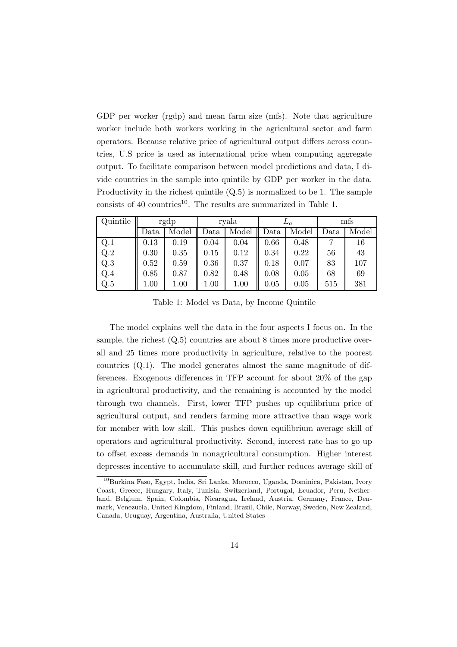GDP per worker (rgdp) and mean farm size (mfs). Note that agriculture worker include both workers working in the agricultural sector and farm operators. Because relative price of agricultural output differs across countries, U.S price is used as international price when computing aggregate output. To facilitate comparison between model predictions and data, I divide countries in the sample into quintile by GDP per worker in the data. Productivity in the richest quintile (Q.5) is normalized to be 1. The sample consists of 40 countries<sup>10</sup>. The results are summarized in Table 1.

| Quintile | rgdp |                        | rvala |               | $\overline{\omega}_a$ |       | mts  |       |
|----------|------|------------------------|-------|---------------|-----------------------|-------|------|-------|
|          | Data | Model $\parallel$ Data |       | Model    Data |                       | Model | Data | Model |
| Q.1      | 0.13 | 0.19                   | 0.04  | 0.04          | 0.66                  | 0.48  |      | 16    |
| Q.2      | 0.30 | 0.35                   | 0.15  | 0.12          | 0.34                  | 0.22  | 56   | 43    |
| Q.3      | 0.52 | 0.59                   | 0.36  | 0.37          | 0.18                  | 0.07  | 83   | 107   |
| Q.4      | 0.85 | 0.87                   | 0.82  | 0.48          | 0.08                  | 0.05  | 68   | 69    |
| Q.5      | 1.00 | 1.00                   | 1.00  | 1.00          | 0.05                  | 0.05  | 515  | 381   |

Table 1: Model vs Data, by Income Quintile

The model explains well the data in the four aspects I focus on. In the sample, the richest  $(Q.5)$  countries are about 8 times more productive overall and 25 times more productivity in agriculture, relative to the poorest countries (Q.1). The model generates almost the same magnitude of differences. Exogenous differences in TFP account for about 20% of the gap in agricultural productivity, and the remaining is accounted by the model through two channels. First, lower TFP pushes up equilibrium price of agricultural output, and renders farming more attractive than wage work for member with low skill. This pushes down equilibrium average skill of operators and agricultural productivity. Second, interest rate has to go up to offset excess demands in nonagricultural consumption. Higher interest depresses incentive to accumulate skill, and further reduces average skill of

<sup>10</sup>Burkina Faso, Egypt, India, Sri Lanka, Morocco, Uganda, Dominica, Pakistan, Ivory Coast, Greece, Hungary, Italy, Tunisia, Switzerland, Portugal, Ecuador, Peru, Netherland, Belgium, Spain, Colombia, Nicaragua, Ireland, Austria, Germany, France, Denmark, Venezuela, United Kingdom, Finland, Brazil, Chile, Norway, Sweden, New Zealand, Canada, Uruguay, Argentina, Australia, United States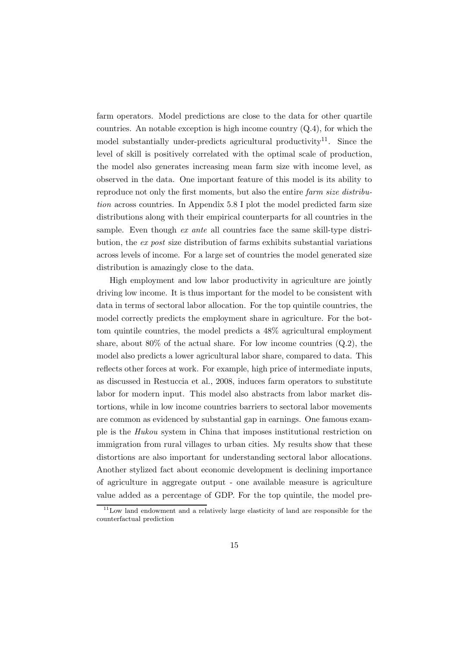farm operators. Model predictions are close to the data for other quartile countries. An notable exception is high income country  $(Q.4)$ , for which the model substantially under-predicts agricultural productivity<sup>11</sup>. Since the level of skill is positively correlated with the optimal scale of production, the model also generates increasing mean farm size with income level, as observed in the data. One important feature of this model is its ability to reproduce not only the first moments, but also the entire farm size distribution across countries. In Appendix 5.8 I plot the model predicted farm size distributions along with their empirical counterparts for all countries in the sample. Even though *ex ante* all countries face the same skill-type distribution, the ex post size distribution of farms exhibits substantial variations across levels of income. For a large set of countries the model generated size distribution is amazingly close to the data.

High employment and low labor productivity in agriculture are jointly driving low income. It is thus important for the model to be consistent with data in terms of sectoral labor allocation. For the top quintile countries, the model correctly predicts the employment share in agriculture. For the bottom quintile countries, the model predicts a 48% agricultural employment share, about  $80\%$  of the actual share. For low income countries  $(Q.2)$ , the model also predicts a lower agricultural labor share, compared to data. This reflects other forces at work. For example, high price of intermediate inputs, as discussed in Restuccia et al., 2008, induces farm operators to substitute labor for modern input. This model also abstracts from labor market distortions, while in low income countries barriers to sectoral labor movements are common as evidenced by substantial gap in earnings. One famous example is the Hukou system in China that imposes institutional restriction on immigration from rural villages to urban cities. My results show that these distortions are also important for understanding sectoral labor allocations. Another stylized fact about economic development is declining importance of agriculture in aggregate output - one available measure is agriculture value added as a percentage of GDP. For the top quintile, the model pre-

 $11$ Low land endowment and a relatively large elasticity of land are responsible for the counterfactual prediction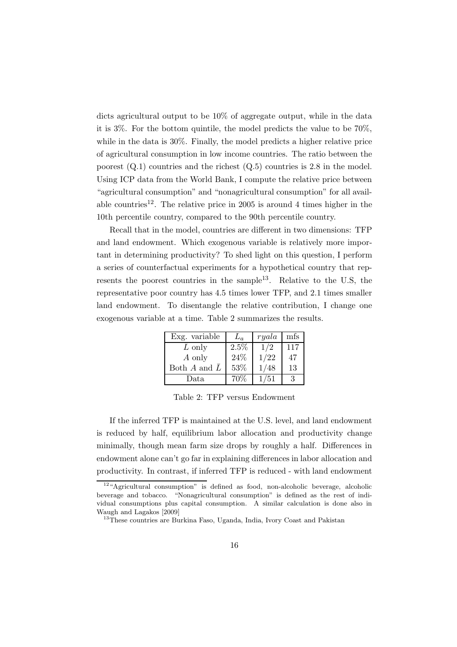dicts agricultural output to be 10% of aggregate output, while in the data it is 3%. For the bottom quintile, the model predicts the value to be 70%, while in the data is 30%. Finally, the model predicts a higher relative price of agricultural consumption in low income countries. The ratio between the poorest  $(Q.1)$  countries and the richest  $(Q.5)$  countries is 2.8 in the model. Using ICP data from the World Bank, I compute the relative price between "agricultural consumption" and "nonagricultural consumption" for all available countries<sup>12</sup>. The relative price in 2005 is around 4 times higher in the 10th percentile country, compared to the 90th percentile country.

Recall that in the model, countries are different in two dimensions: TFP and land endowment. Which exogenous variable is relatively more important in determining productivity? To shed light on this question, I perform a series of counterfactual experiments for a hypothetical country that represents the poorest countries in the sample<sup>13</sup>. Relative to the U.S, the representative poor country has 4.5 times lower TFP, and 2.1 times smaller land endowment. To disentangle the relative contribution, I change one exogenous variable at a time. Table 2 summarizes the results.

| Exg. variable    | $L_a$ | ryala | mfs |
|------------------|-------|-------|-----|
| L only           | 2.5%  | 1/2   | 117 |
| A only           | 24%   | 1/22  | 47  |
| Both $A$ and $L$ | 53%   | 1/48  | 13  |
| Data             | 70\%  | /51   |     |

Table 2: TFP versus Endowment

If the inferred TFP is maintained at the U.S. level, and land endowment is reduced by half, equilibrium labor allocation and productivity change minimally, though mean farm size drops by roughly a half. Differences in endowment alone can't go far in explaining differences in labor allocation and productivity. In contrast, if inferred TFP is reduced - with land endowment

 $12 \text{``Agricultural consumption''}$  is defined as food, non-alcoholic beverage, alcoholic beverage and tobacco. "Nonagricultural consumption" is defined as the rest of individual consumptions plus capital consumption. A similar calculation is done also in Waugh and Lagakos [2009]

<sup>&</sup>lt;sup>13</sup>These countries are Burkina Faso, Uganda, India, Ivory Coast and Pakistan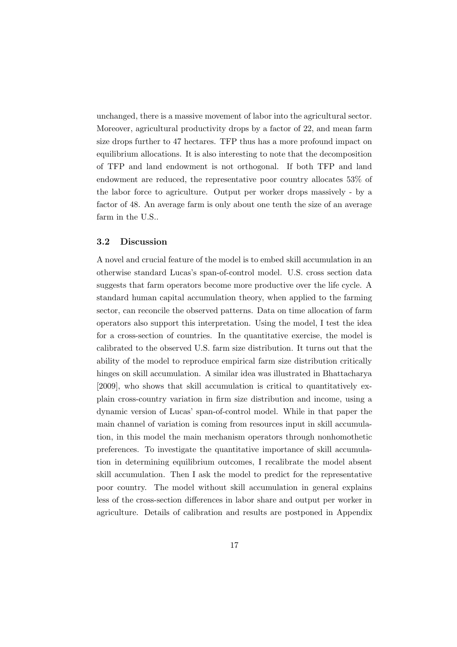unchanged, there is a massive movement of labor into the agricultural sector. Moreover, agricultural productivity drops by a factor of 22, and mean farm size drops further to 47 hectares. TFP thus has a more profound impact on equilibrium allocations. It is also interesting to note that the decomposition of TFP and land endowment is not orthogonal. If both TFP and land endowment are reduced, the representative poor country allocates 53% of the labor force to agriculture. Output per worker drops massively - by a factor of 48. An average farm is only about one tenth the size of an average farm in the U.S..

### 3.2 Discussion

A novel and crucial feature of the model is to embed skill accumulation in an otherwise standard Lucas's span-of-control model. U.S. cross section data suggests that farm operators become more productive over the life cycle. A standard human capital accumulation theory, when applied to the farming sector, can reconcile the observed patterns. Data on time allocation of farm operators also support this interpretation. Using the model, I test the idea for a cross-section of countries. In the quantitative exercise, the model is calibrated to the observed U.S. farm size distribution. It turns out that the ability of the model to reproduce empirical farm size distribution critically hinges on skill accumulation. A similar idea was illustrated in Bhattacharya [2009], who shows that skill accumulation is critical to quantitatively explain cross-country variation in firm size distribution and income, using a dynamic version of Lucas' span-of-control model. While in that paper the main channel of variation is coming from resources input in skill accumulation, in this model the main mechanism operators through nonhomothetic preferences. To investigate the quantitative importance of skill accumulation in determining equilibrium outcomes, I recalibrate the model absent skill accumulation. Then I ask the model to predict for the representative poor country. The model without skill accumulation in general explains less of the cross-section differences in labor share and output per worker in agriculture. Details of calibration and results are postponed in Appendix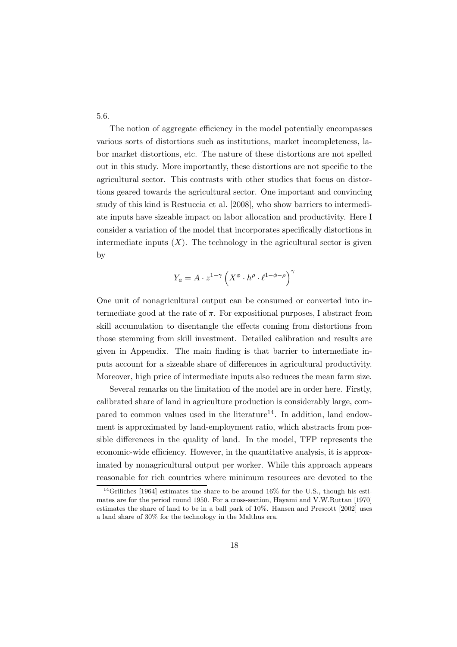5.6.

The notion of aggregate efficiency in the model potentially encompasses various sorts of distortions such as institutions, market incompleteness, labor market distortions, etc. The nature of these distortions are not spelled out in this study. More importantly, these distortions are not specific to the agricultural sector. This contrasts with other studies that focus on distortions geared towards the agricultural sector. One important and convincing study of this kind is Restuccia et al. [2008], who show barriers to intermediate inputs have sizeable impact on labor allocation and productivity. Here I consider a variation of the model that incorporates specifically distortions in intermediate inputs  $(X)$ . The technology in the agricultural sector is given by

$$
Y_a = A \cdot z^{1-\gamma} \left( X^{\phi} \cdot h^{\rho} \cdot \ell^{1-\phi-\rho} \right)^{\gamma}
$$

One unit of nonagricultural output can be consumed or converted into intermediate good at the rate of  $\pi$ . For expositional purposes, I abstract from skill accumulation to disentangle the effects coming from distortions from those stemming from skill investment. Detailed calibration and results are given in Appendix. The main finding is that barrier to intermediate inputs account for a sizeable share of differences in agricultural productivity. Moreover, high price of intermediate inputs also reduces the mean farm size.

Several remarks on the limitation of the model are in order here. Firstly, calibrated share of land in agriculture production is considerably large, compared to common values used in the literature<sup>14</sup>. In addition, land endowment is approximated by land-employment ratio, which abstracts from possible differences in the quality of land. In the model, TFP represents the economic-wide efficiency. However, in the quantitative analysis, it is approximated by nonagricultural output per worker. While this approach appears reasonable for rich countries where minimum resources are devoted to the

 $\frac{14}{14}$ Griliches [1964] estimates the share to be around 16% for the U.S., though his estimates are for the period round 1950. For a cross-section, Hayami and V.W.Ruttan [1970] estimates the share of land to be in a ball park of 10%. Hansen and Prescott [2002] uses a land share of 30% for the technology in the Malthus era.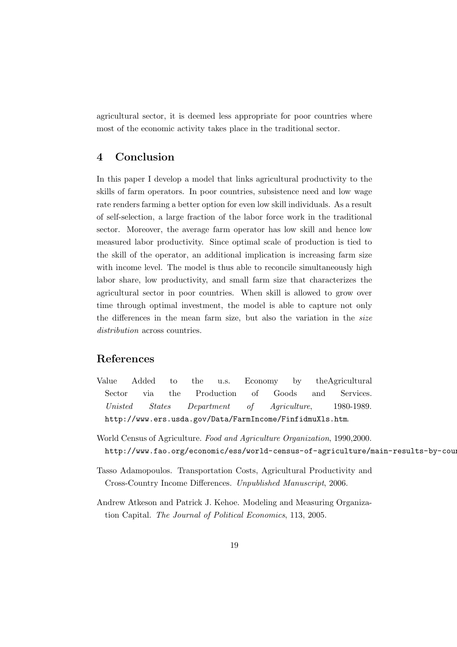agricultural sector, it is deemed less appropriate for poor countries where most of the economic activity takes place in the traditional sector.

### 4 Conclusion

In this paper I develop a model that links agricultural productivity to the skills of farm operators. In poor countries, subsistence need and low wage rate renders farming a better option for even low skill individuals. As a result of self-selection, a large fraction of the labor force work in the traditional sector. Moreover, the average farm operator has low skill and hence low measured labor productivity. Since optimal scale of production is tied to the skill of the operator, an additional implication is increasing farm size with income level. The model is thus able to reconcile simultaneously high labor share, low productivity, and small farm size that characterizes the agricultural sector in poor countries. When skill is allowed to grow over time through optimal investment, the model is able to capture not only the differences in the mean farm size, but also the variation in the size distribution across countries.

### References

- Value Added to the u.s. Economy by theAgricultural Sector via the Production of Goods and Services. Unisted States Department of Agriculture, 1980-1989. http://www.ers.usda.gov/Data/FarmIncome/FinfidmuXls.htm.
- World Census of Agriculture. Food and Agriculture Organization, 1990,2000. http://www.fao.org/economic/ess/world-census-of-agriculture/main-results-by-coun
- Tasso Adamopoulos. Transportation Costs, Agricultural Productivity and Cross-Country Income Differences. Unpublished Manuscript, 2006.
- Andrew Atkeson and Patrick J. Kehoe. Modeling and Measuring Organization Capital. The Journal of Political Economics, 113, 2005.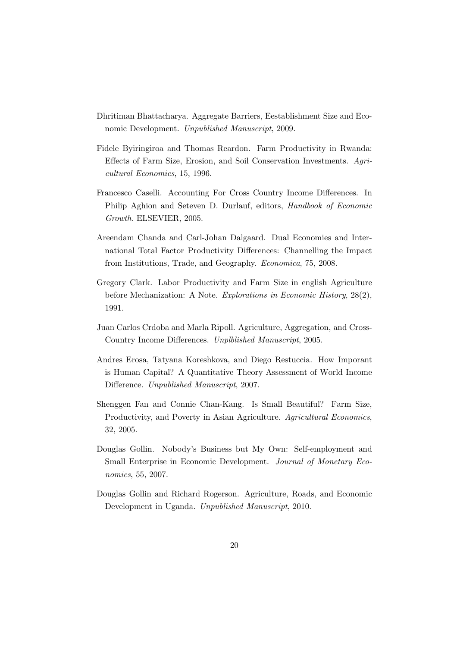- Dhritiman Bhattacharya. Aggregate Barriers, Eestablishment Size and Economic Development. Unpublished Manuscript, 2009.
- Fidele Byiringiroa and Thomas Reardon. Farm Productivity in Rwanda: Effects of Farm Size, Erosion, and Soil Conservation Investments. Agricultural Economics, 15, 1996.
- Francesco Caselli. Accounting For Cross Country Income Differences. In Philip Aghion and Seteven D. Durlauf, editors, Handbook of Economic Growth. ELSEVIER, 2005.
- Areendam Chanda and Carl-Johan Dalgaard. Dual Economies and International Total Factor Productivity Differences: Channelling the Impact from Institutions, Trade, and Geography. Economica, 75, 2008.
- Gregory Clark. Labor Productivity and Farm Size in english Agriculture before Mechanization: A Note. Explorations in Economic History, 28(2), 1991.
- Juan Carlos Crdoba and Marla Ripoll. Agriculture, Aggregation, and Cross-Country Income Differences. Unplblished Manuscript, 2005.
- Andres Erosa, Tatyana Koreshkova, and Diego Restuccia. How Imporant is Human Capital? A Quantitative Theory Assessment of World Income Difference. Unpublished Manuscript, 2007.
- Shenggen Fan and Connie Chan-Kang. Is Small Beautiful? Farm Size, Productivity, and Poverty in Asian Agriculture. Agricultural Economics, 32, 2005.
- Douglas Gollin. Nobody's Business but My Own: Self-employment and Small Enterprise in Economic Development. Journal of Monetary Economics, 55, 2007.
- Douglas Gollin and Richard Rogerson. Agriculture, Roads, and Economic Development in Uganda. Unpublished Manuscript, 2010.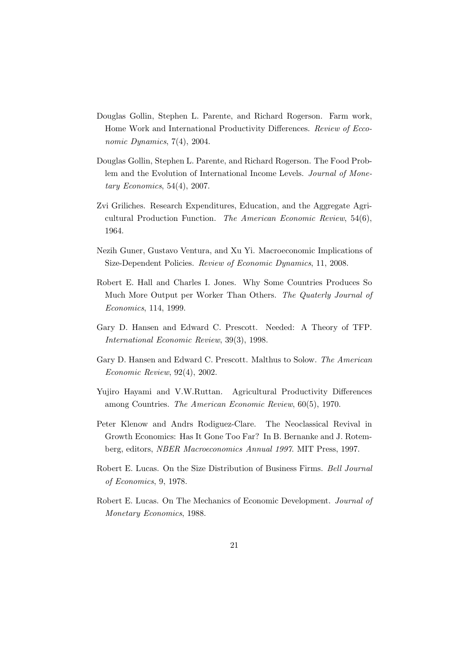- Douglas Gollin, Stephen L. Parente, and Richard Rogerson. Farm work, Home Work and International Productivity Differences. Review of Ecconomic Dynamics, 7(4), 2004.
- Douglas Gollin, Stephen L. Parente, and Richard Rogerson. The Food Problem and the Evolution of International Income Levels. Journal of Monetary Economics,  $54(4)$ ,  $2007$ .
- Zvi Griliches. Research Expenditures, Education, and the Aggregate Agricultural Production Function. The American Economic Review, 54(6), 1964.
- Nezih Guner, Gustavo Ventura, and Xu Yi. Macroeconomic Implications of Size-Dependent Policies. Review of Economic Dynamics, 11, 2008.
- Robert E. Hall and Charles I. Jones. Why Some Countries Produces So Much More Output per Worker Than Others. The Quaterly Journal of Economics, 114, 1999.
- Gary D. Hansen and Edward C. Prescott. Needed: A Theory of TFP. International Economic Review, 39(3), 1998.
- Gary D. Hansen and Edward C. Prescott. Malthus to Solow. The American Economic Review, 92(4), 2002.
- Yujiro Hayami and V.W.Ruttan. Agricultural Productivity Differences among Countries. The American Economic Review, 60(5), 1970.
- Peter Klenow and Andrs Rodiguez-Clare. The Neoclassical Revival in Growth Economics: Has It Gone Too Far? In B. Bernanke and J. Rotemberg, editors, NBER Macroeconomics Annual 1997. MIT Press, 1997.
- Robert E. Lucas. On the Size Distribution of Business Firms. Bell Journal of Economics, 9, 1978.
- Robert E. Lucas. On The Mechanics of Economic Development. Journal of Monetary Economics, 1988.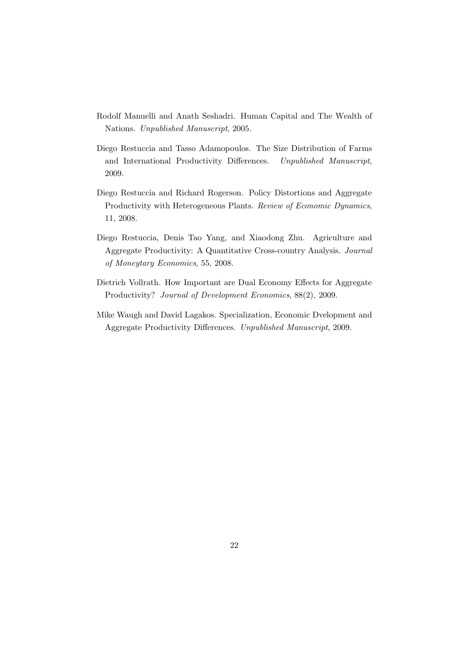- Rodolf Manuelli and Anath Seshadri. Human Capital and The Wealth of Nations. Unpublished Manuscript, 2005.
- Diego Restuccia and Tasso Adamopoulos. The Size Distribution of Farms and International Productivity Differences. Unpublished Manuscript, 2009.
- Diego Restuccia and Richard Rogerson. Policy Distortions and Aggregate Productivity with Heterogeneous Plants. Review of Economic Dynamics, 11, 2008.
- Diego Restuccia, Denis Tao Yang, and Xiaodong Zhu. Agriculture and Aggregate Productivity: A Quantitative Cross-country Analysis. Journal of Moneytary Economics, 55, 2008.
- Dietrich Vollrath. How Important are Dual Economy Effects for Aggregate Productivity? Journal of Development Economics, 88(2), 2009.
- Mike Waugh and David Lagakos. Specialization, Economic Dvelopment and Aggregate Productivity Differences. Unpublished Manuscript, 2009.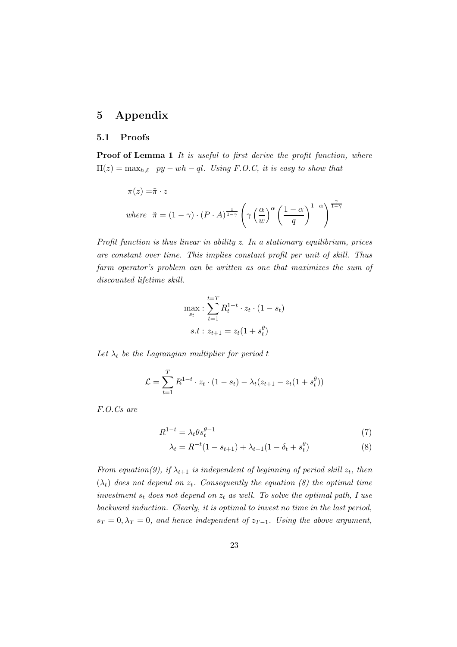### 5 Appendix

#### 5.1 Proofs

Proof of Lemma 1 It is useful to first derive the profit function, where  $\Pi(z) = \max_{h,\ell} py - wh - ql$ . Using F.O.C, it is easy to show that

$$
\pi(z) = \tilde{\pi} \cdot z
$$
  
where  $\tilde{\pi} = (1 - \gamma) \cdot (P \cdot A)^{\frac{1}{1 - \gamma}} \left( \gamma \left( \frac{\alpha}{w} \right)^{\alpha} \left( \frac{1 - \alpha}{q} \right)^{1 - \alpha} \right)^{\frac{\gamma}{1 - \gamma}}$ 

Profit function is thus linear in ability z. In a stationary equilibrium, prices are constant over time. This implies constant profit per unit of skill. Thus farm operator's problem can be written as one that maximizes the sum of discounted lifetime skill.

$$
\max_{s_t} : \sum_{t=1}^{t=T} R_t^{1-t} \cdot z_t \cdot (1 - s_t)
$$
  
s.t :  $z_{t+1} = z_t(1 + s_t^{\theta})$ 

Let  $\lambda_t$  be the Lagrangian multiplier for period t

$$
\mathcal{L} = \sum_{t=1}^{T} R^{1-t} \cdot z_t \cdot (1 - s_t) - \lambda_t (z_{t+1} - z_t (1 + s_t^{\theta}))
$$

F.O.Cs are

$$
R^{1-t} = \lambda_t \theta s_t^{\theta - 1} \tag{7}
$$

$$
\lambda_t = R^{-t}(1 - s_{t+1}) + \lambda_{t+1}(1 - \delta_t + s_t^{\theta})
$$
\n(8)

From equation(9), if  $\lambda_{t+1}$  is independent of beginning of period skill  $z_t$ , then  $(\lambda_t)$  does not depend on  $z_t$ . Consequently the equation (8) the optimal time investment  $s_t$  does not depend on  $z_t$  as well. To solve the optimal path, I use backward induction. Clearly, it is optimal to invest no time in the last period,  $s_T = 0, \lambda_T = 0$ , and hence independent of  $z_{T-1}$ . Using the above argument,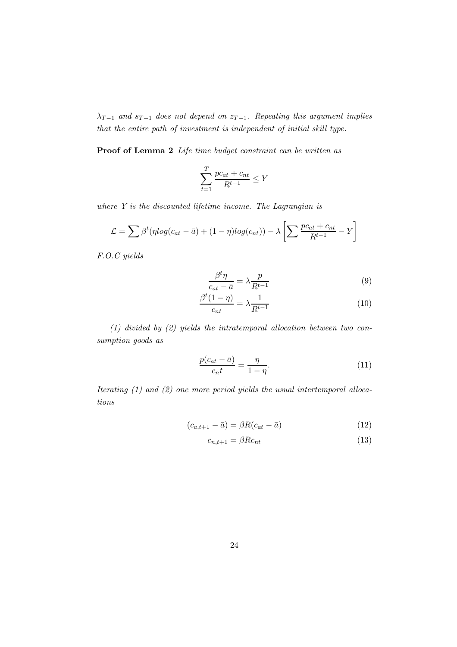$\lambda_{T-1}$  and  $s_{T-1}$  does not depend on  $z_{T-1}$ . Repeating this argument implies that the entire path of investment is independent of initial skill type.

Proof of Lemma 2 Life time budget constraint can be written as

$$
\sum_{t=1}^{T} \frac{pc_{at} + c_{nt}}{R^{t-1}} \le Y
$$

where Y is the discounted lifetime income. The Lagrangian is

$$
\mathcal{L} = \sum \beta^t (\eta \log(c_{at} - \bar{a}) + (1 - \eta) \log(c_{nt})) - \lambda \left[ \sum \frac{pc_{at} + c_{nt}}{R^{t-1}} - Y \right]
$$

F.O.C yields

$$
\frac{\beta^t \eta}{c_{at} - \bar{a}} = \lambda \frac{p}{R^{t-1}}
$$
\n(9)

$$
\frac{\beta^t (1 - \eta)}{c_{nt}} = \lambda \frac{1}{R^{t-1}} \tag{10}
$$

(1) divided by (2) yields the intratemporal allocation between two consumption goods as

$$
\frac{p(c_{at} - \bar{a})}{c_n t} = \frac{\eta}{1 - \eta}.\tag{11}
$$

Iterating (1) and (2) one more period yields the usual intertemporal allocations

$$
(c_{a,t+1} - \bar{a}) = \beta R (c_{at} - \bar{a}) \tag{12}
$$

$$
c_{n,t+1} = \beta R c_{nt} \tag{13}
$$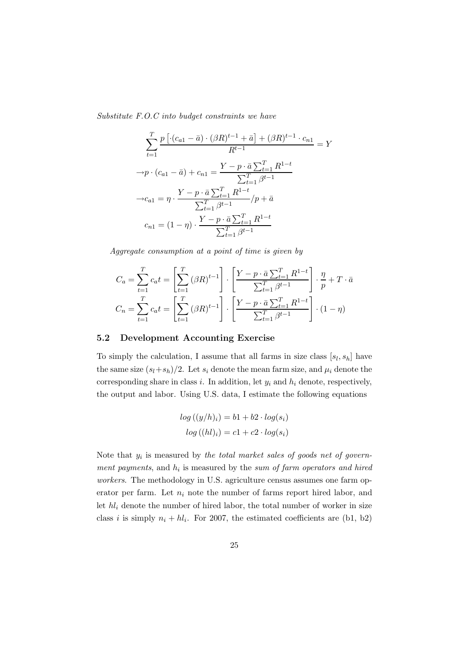Substitute F.O.C into budget constraints we have

$$
\sum_{t=1}^{T} \frac{p \left[ \cdot (c_{a1} - \bar{a}) \cdot (\beta R)^{t-1} + \bar{a} \right] + (\beta R)^{t-1} \cdot c_{n1}}{R^{t-1}} = Y
$$
  
\n
$$
\rightarrow p \cdot (c_{a1} - \bar{a}) + c_{n1} = \frac{Y - p \cdot \bar{a} \sum_{t=1}^{T} R^{1-t}}{\sum_{t=1}^{T} \beta^{t-1}} \rightarrow c_{a1} = \eta \cdot \frac{Y - p \cdot \bar{a} \sum_{t=1}^{T} R^{1-t}}{\sum_{t=1}^{T} \beta^{t-1}} / p + \bar{a}
$$
  
\n
$$
c_{n1} = (1 - \eta) \cdot \frac{Y - p \cdot \bar{a} \sum_{t=1}^{T} R^{1-t}}{\sum_{t=1}^{T} \beta^{t-1}}
$$

Aggregate consumption at a point of time is given by

$$
C_a = \sum_{t=1}^T c_a t = \left[ \sum_{t=1}^T (\beta R)^{t-1} \right] \cdot \left[ \frac{Y - p \cdot \bar{a} \sum_{t=1}^T R^{1-t}}{\sum_{t=1}^T \beta^{t-1}} \right] \cdot \frac{\eta}{p} + T \cdot \bar{a}
$$
  

$$
C_n = \sum_{t=1}^T c_a t = \left[ \sum_{t=1}^T (\beta R)^{t-1} \right] \cdot \left[ \frac{Y - p \cdot \bar{a} \sum_{t=1}^T R^{1-t}}{\sum_{t=1}^T \beta^{t-1}} \right] \cdot (1 - \eta)
$$

### 5.2 Development Accounting Exercise

To simply the calculation, I assume that all farms in size class  $[s_l, s_h]$  have the same size  $(s_l+s_h)/2$ . Let  $s_i$  denote the mean farm size, and  $\mu_i$  denote the corresponding share in class i. In addition, let  $y_i$  and  $h_i$  denote, respectively, the output and labor. Using U.S. data, I estimate the following equations

$$
log ((y/h)_i) = b1 + b2 \cdot log(s_i)
$$
  

$$
log ((hl)_i) = c1 + c2 \cdot log(s_i)
$$

Note that  $y_i$  is measured by the total market sales of goods net of government payments, and  $h_i$  is measured by the sum of farm operators and hired workers. The methodology in U.S. agriculture census assumes one farm operator per farm. Let  $n_i$  note the number of farms report hired labor, and let  $hl_i$  denote the number of hired labor, the total number of worker in size class i is simply  $n_i + h_i$ . For 2007, the estimated coefficients are (b1, b2)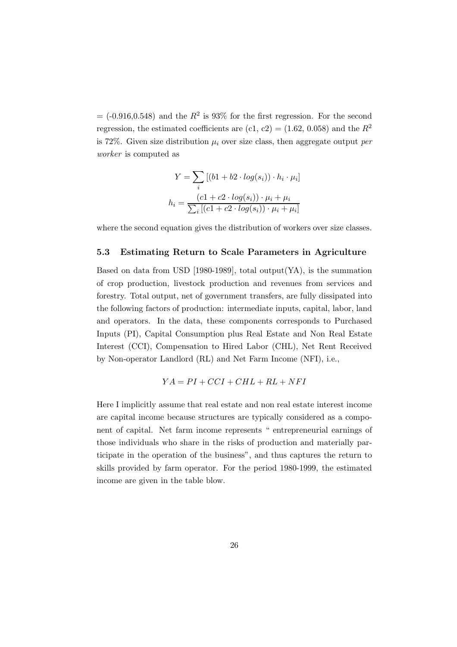$=$  (-0.916,0.548) and the  $R^2$  is 93% for the first regression. For the second regression, the estimated coefficients are (c1, c2) = (1.62, 0.058) and the  $R^2$ is 72%. Given size distribution  $\mu_i$  over size class, then aggregate output per worker is computed as

$$
Y = \sum_{i} [(b1 + b2 \cdot log(s_i)) \cdot h_i \cdot \mu_i]
$$

$$
h_i = \frac{(c1 + c2 \cdot log(s_i)) \cdot \mu_i + \mu_i}{\sum_{i} [(c1 + c2 \cdot log(s_i)) \cdot \mu_i + \mu_i]}
$$

where the second equation gives the distribution of workers over size classes.

### 5.3 Estimating Return to Scale Parameters in Agriculture

Based on data from USD [1980-1989], total output  $(YA)$ , is the summation of crop production, livestock production and revenues from services and forestry. Total output, net of government transfers, are fully dissipated into the following factors of production: intermediate inputs, capital, labor, land and operators. In the data, these components corresponds to Purchased Inputs (PI), Capital Consumption plus Real Estate and Non Real Estate Interest (CCI), Compensation to Hired Labor (CHL), Net Rent Received by Non-operator Landlord (RL) and Net Farm Income (NFI), i.e.,

$$
YA = PI + CCI + CHL + RL + NFI
$$

Here I implicitly assume that real estate and non real estate interest income are capital income because structures are typically considered as a component of capital. Net farm income represents " entrepreneurial earnings of those individuals who share in the risks of production and materially participate in the operation of the business", and thus captures the return to skills provided by farm operator. For the period 1980-1999, the estimated income are given in the table blow.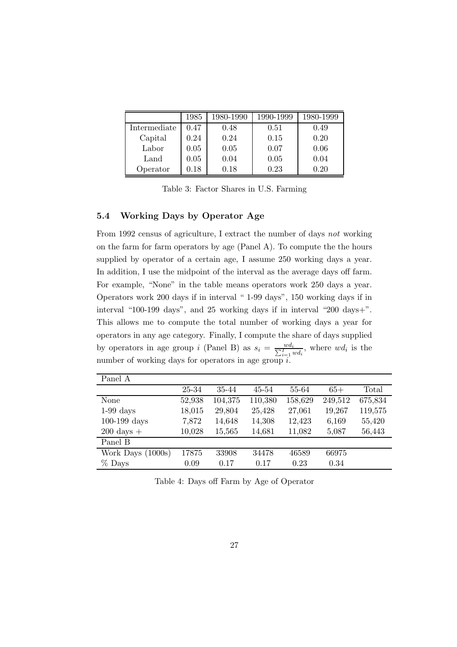|              | 1985       | 1980-1990 | 1990-1999 | 1980-1999 |
|--------------|------------|-----------|-----------|-----------|
| Intermediate | 0.47       | 0.48      | 0.51      | 0.49      |
| Capital      | 0.24       | 0.24      | 0.15      | 0.20      |
| Labor        | 0.05       | 0.05      | 0.07      | 0.06      |
| Land         | 0.05       | 0.04      | 0.05      | 0.04      |
| Operator     | $\rm 0.18$ | 0.18      | 0.23      | 0.20      |

Table 3: Factor Shares in U.S. Farming

### 5.4 Working Days by Operator Age

From 1992 census of agriculture, I extract the number of days not working on the farm for farm operators by age (Panel A). To compute the the hours supplied by operator of a certain age, I assume 250 working days a year. In addition, I use the midpoint of the interval as the average days off farm. For example, "None" in the table means operators work 250 days a year. Operators work 200 days if in interval " 1-99 days", 150 working days if in interval "100-199 days", and 25 working days if in interval "200 days+". This allows me to compute the total number of working days a year for operators in any age category. Finally, I compute the share of days supplied by operators in age group *i* (Panel B) as  $s_i = \frac{wd_i}{\sum_{i=1}^T wd_i}$ , where  $wd_i$  is the number of working days for operators in age group i.

| Panel A              |        |         |         |         |         |         |
|----------------------|--------|---------|---------|---------|---------|---------|
|                      | 25-34  | 35-44   | 45-54   | 55-64   | $65+$   | Total   |
| None                 | 52,938 | 104,375 | 110,380 | 158,629 | 249,512 | 675,834 |
| $1-99$ days          | 18,015 | 29,804  | 25,428  | 27,061  | 19,267  | 119,575 |
| $100-199$ days       | 7,872  | 14,648  | 14,308  | 12,423  | 6,169   | 55,420  |
| $200 \text{ days} +$ | 10,028 | 15,565  | 14,681  | 11,082  | 5,087   | 56,443  |
| Panel B              |        |         |         |         |         |         |
| Work Days $(1000s)$  | 17875  | 33908   | 34478   | 46589   | 66975   |         |
| $%$ Days             | 0.09   | 0.17    | 0.17    | 0.23    | 0.34    |         |

Table 4: Days off Farm by Age of Operator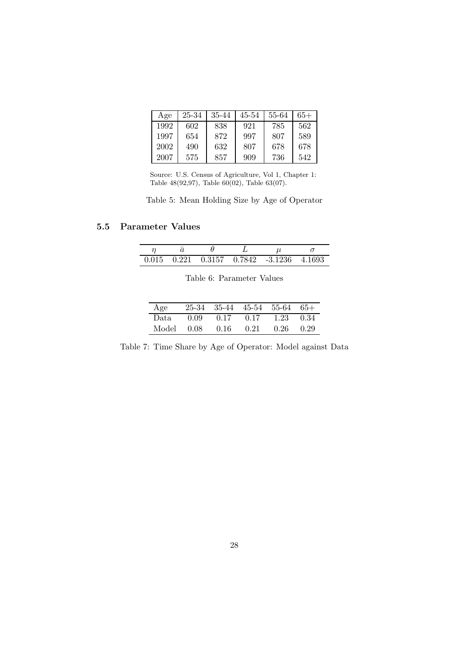| Age  | 25-34 | 35-44 | 45-54 | 55-64 | 65+ |
|------|-------|-------|-------|-------|-----|
| 1992 | 602   | 838   | 921   | 785   | 562 |
| 1997 | 654   | 872   | 997   | 807   | 589 |
| 2002 | 490   | 632   | 807   | 678   | 678 |
| 2007 | 575   | 857   | 909   | 736   | 542 |

Source: U.S. Census of Agriculture, Vol 1, Chapter 1: Table 48(92,97), Table 60(02), Table 63(07).

Table 5: Mean Holding Size by Age of Operator

### 5.5 Parameter Values

|  |  | $0.015$ $0.221$ $0.3157$ $0.7842$ $-3.1236$ $4.1693$ |  |
|--|--|------------------------------------------------------|--|

| Age        |                    | $25-34$ 35-44 45-54 55-64 65+ |                   |  |
|------------|--------------------|-------------------------------|-------------------|--|
| - Data     | $0.09 \qquad 0.17$ | $0.17$ $1.23$ $0.34$          |                   |  |
| Model 0.08 | 0.16               | 0.21                          | $0.26 \quad 0.29$ |  |

Table 7: Time Share by Age of Operator: Model against Data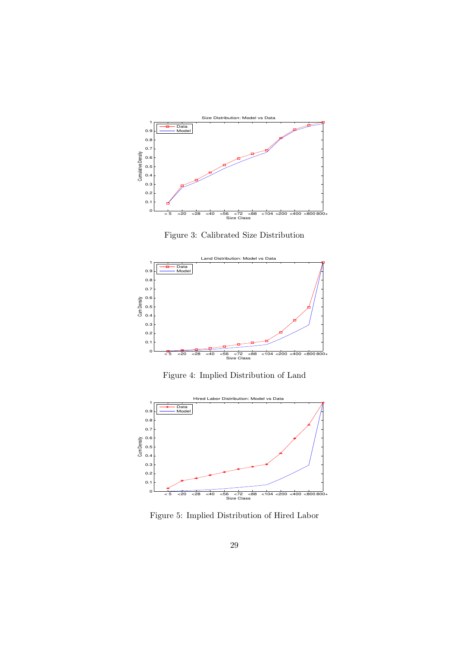

Figure 3: Calibrated Size Distribution



Figure 4: Implied Distribution of Land



Figure 5: Implied Distribution of Hired Labor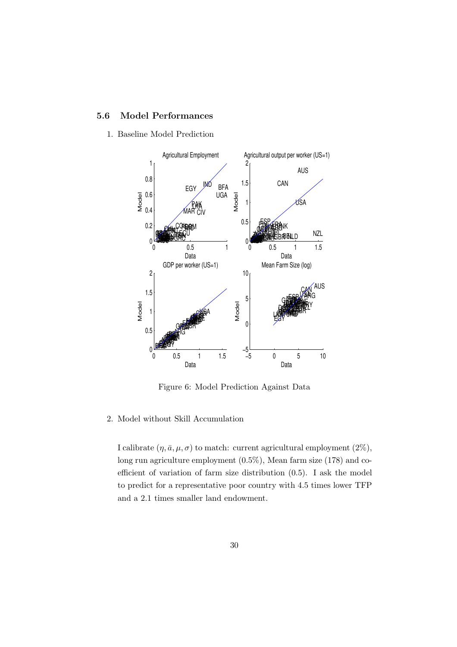### 5.6 Model Performances

1. Baseline Model Prediction



Figure 6: Model Prediction Against Data

### 2. Model without Skill Accumulation

I calibrate  $(\eta, \bar{a}, \mu, \sigma)$  to match: current agricultural employment (2%), long run agriculture employment (0.5%), Mean farm size (178) and coefficient of variation of farm size distribution (0.5). I ask the model to predict for a representative poor country with 4.5 times lower TFP and a 2.1 times smaller land endowment.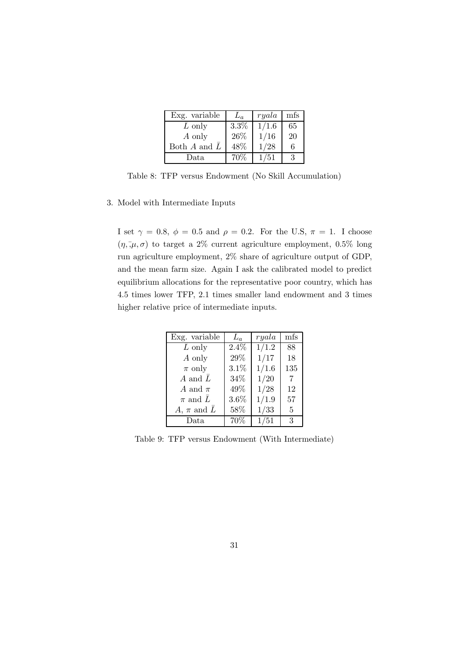| Exg. variable               | $\mathcal{L}_a$ | ryala | mfs |
|-----------------------------|-----------------|-------|-----|
| $L$ only                    | 3.3%            | 1/1.6 | 65  |
| A only                      | 26\%            | 1/16  | 20  |
| Both $A$ and $\overline{L}$ | 48%             | 1/28  | 6   |
| Data                        | 70%             | 1/51  |     |

Table 8: TFP versus Endowment (No Skill Accumulation)

### 3. Model with Intermediate Inputs

I set  $\gamma = 0.8$ ,  $\phi = 0.5$  and  $\rho = 0.2$ . For the U.S,  $\pi = 1$ . I choose  $(\eta, \bar{\mu}, \sigma)$  to target a 2% current agriculture employment, 0.5% long run agriculture employment, 2% share of agriculture output of GDP, and the mean farm size. Again I ask the calibrated model to predict equilibrium allocations for the representative poor country, which has 4.5 times lower TFP, 2.1 times smaller land endowment and 3 times higher relative price of intermediate inputs.

| Exg. variable               | $L_a$   | ryala | mfs            |
|-----------------------------|---------|-------|----------------|
| $L$ only                    | $2.4\%$ | 1/1.2 | 88             |
| A only                      | 29%     | 1/17  | 18             |
| $\pi$ only                  | 3.1%    | 1/1.6 | 135            |
| A and $\overline{L}$        | $34\%$  | 1/20  | $\overline{7}$ |
| A and $\pi$                 | 49%     | 1/28  | 12             |
| $\pi$ and $\overline{L}$    | 3.6%    | 1/1.9 | 57             |
| A, $\pi$ and $\overline{L}$ | 58%     | 1/33  | $\overline{5}$ |
| Data                        | 70%     | 1/51  | 3              |

Table 9: TFP versus Endowment (With Intermediate)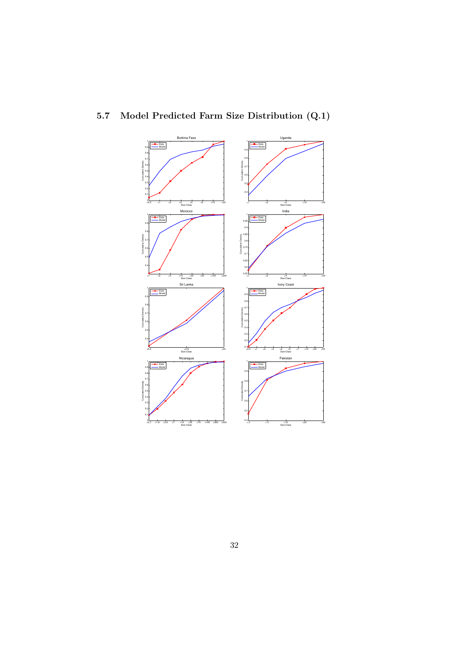

## 5.7 Model Predicted Farm Size Distribution (Q.1)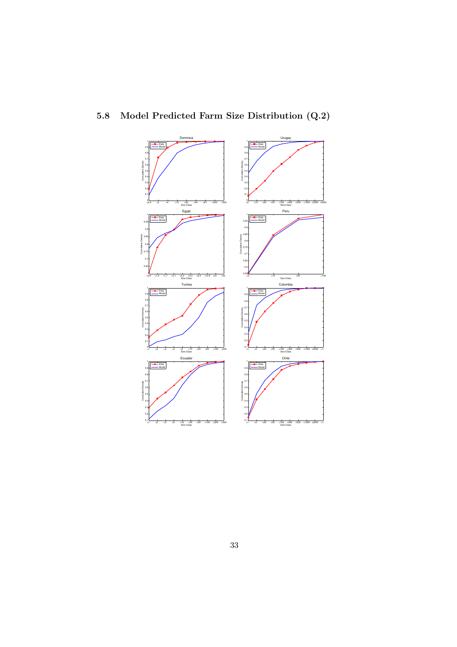

## 5.8 Model Predicted Farm Size Distribution (Q.2)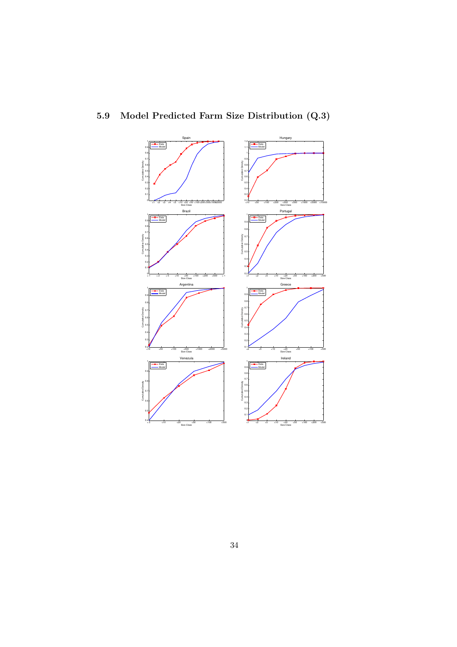

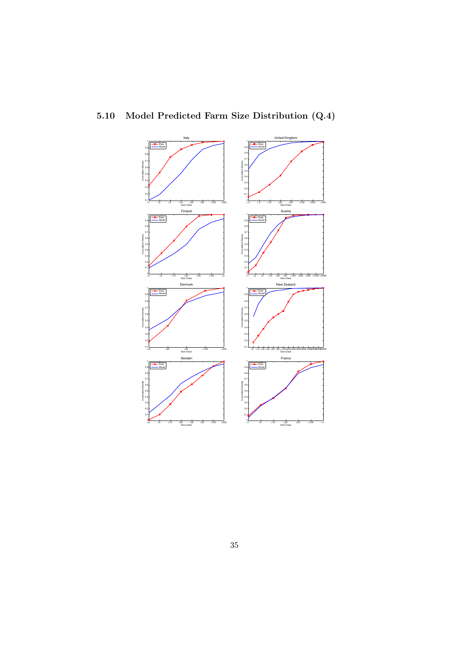

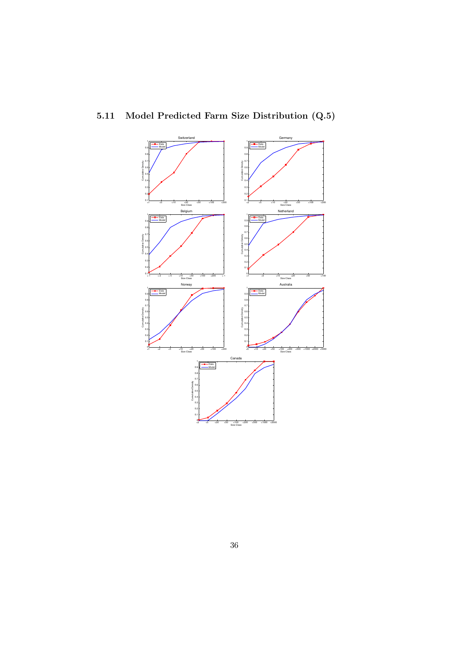